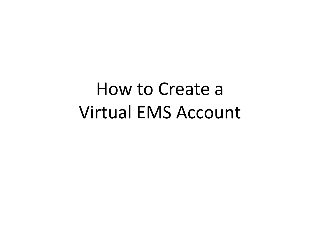## How to Create a Virtual EMS Account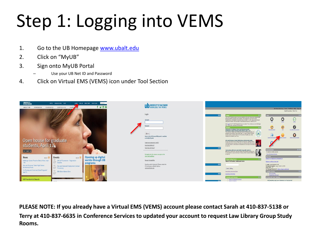## Step 1: Logging into VEMS

- 1. Go to the UB Homepage [www.ubalt.edu](http://www.ubalt.edu/)
- 2. Click on "MyUB"
- 3. Sign onto MyUB Portal
	- Use your UB Net ID and Password
- 4. Click on Virtual EMS (VEMS) icon under Tool Section



**PLEASE NOTE: If you already have a Virtual EMS (VEMS) account please contact Sarah at 410-837-5138 or Terry at 410-837-6635 in Conference Services to updated your account to request Law Library Group Study Rooms.**